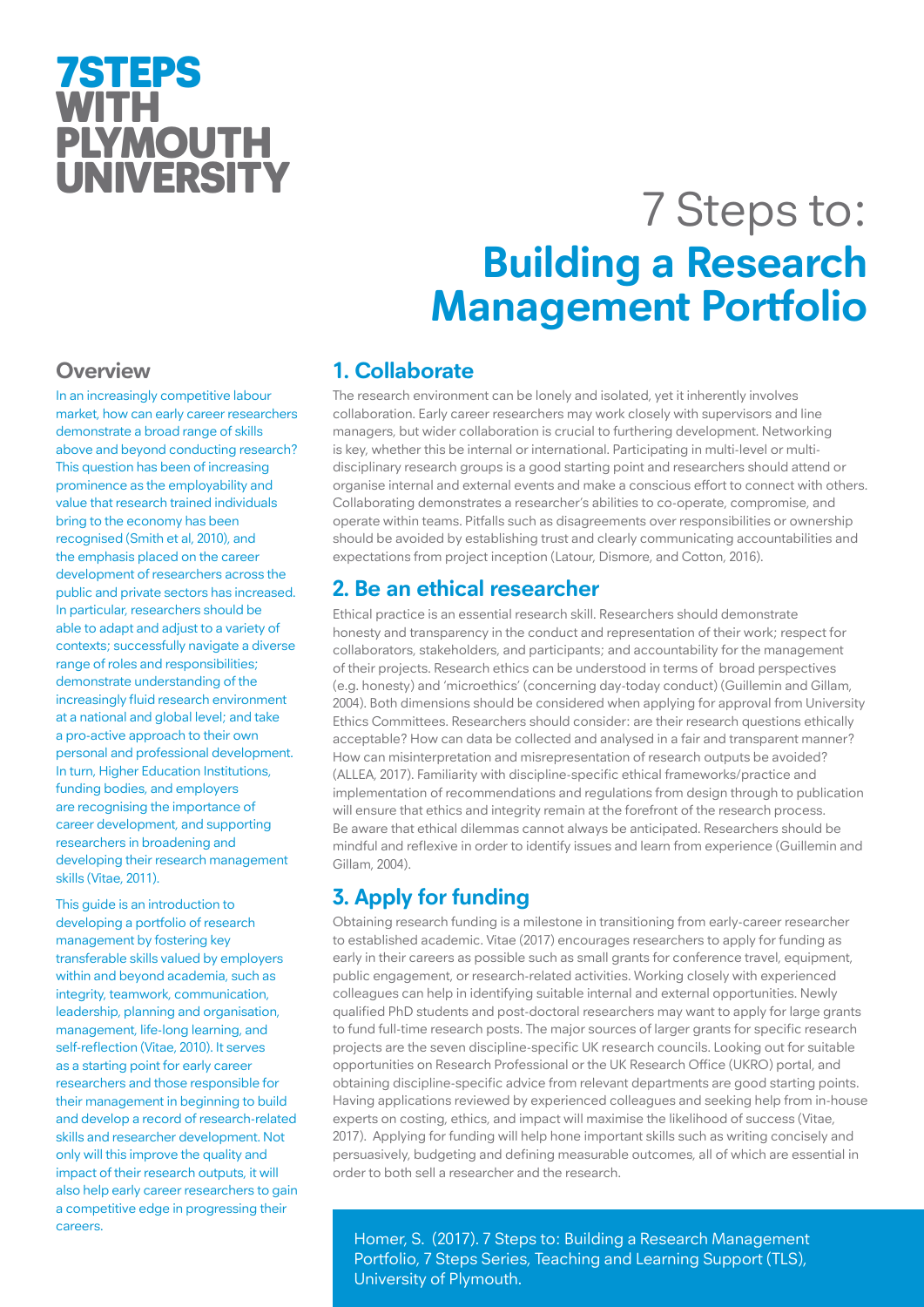# 7STEPS WITH **PLYMOUTH** UNIVERSITY

# 7 Steps to: **Building a Research Management Portfolio**

# **Overview**

In an increasingly competitive labour market, how can early career researchers demonstrate a broad range of skills above and beyond conducting research? This question has been of increasing prominence as the employability and value that research trained individuals bring to the economy has been recognised (Smith et al, 2010), and the emphasis placed on the career development of researchers across the public and private sectors has increased. In particular, researchers should be able to adapt and adjust to a variety of contexts; successfully navigate a diverse range of roles and responsibilities: demonstrate understanding of the increasingly fluid research environment at a national and global level; and take a pro-active approach to their own personal and professional development. In turn, Higher Education Institutions, funding bodies, and employers are recognising the importance of career development, and supporting researchers in broadening and developing their research management skills (Vitae, 2011).

This guide is an introduction to developing a portfolio of research management by fostering key transferable skills valued by employers within and beyond academia, such as integrity, teamwork, communication, leadership, planning and organisation, management, life-long learning, and self-reflection (Vitae, 2010). It serves as a starting point for early career researchers and those responsible for their management in beginning to build and develop a record of research-related skills and researcher development. Not only will this improve the quality and impact of their research outputs, it will also help early career researchers to gain a competitive edge in progressing their careers.

# **1. Collaborate**

The research environment can be lonely and isolated, yet it inherently involves collaboration. Early career researchers may work closely with supervisors and line managers, but wider collaboration is crucial to furthering development. Networking is key, whether this be internal or international. Participating in multi-level or multidisciplinary research groups is a good starting point and researchers should attend or organise internal and external events and make a conscious effort to connect with others. Collaborating demonstrates a researcher's abilities to co-operate, compromise, and operate within teams. Pitfalls such as disagreements over responsibilities or ownership should be avoided by establishing trust and clearly communicating accountabilities and expectations from project inception (Latour, Dismore, and Cotton, 2016).

## **2. Be an ethical researcher**

Ethical practice is an essential research skill. Researchers should demonstrate honesty and transparency in the conduct and representation of their work; respect for collaborators, stakeholders, and participants; and accountability for the management of their projects. Research ethics can be understood in terms of broad perspectives (e.g. honesty) and 'microethics' (concerning day-today conduct) (Guillemin and Gillam, 2004). Both dimensions should be considered when applying for approval from University Ethics Committees. Researchers should consider: are their research questions ethically acceptable? How can data be collected and analysed in a fair and transparent manner? How can misinterpretation and misrepresentation of research outputs be avoided? (ALLEA, 2017). Familiarity with discipline-specific ethical frameworks/practice and implementation of recommendations and regulations from design through to publication will ensure that ethics and integrity remain at the forefront of the research process. Be aware that ethical dilemmas cannot always be anticipated. Researchers should be mindful and reflexive in order to identify issues and learn from experience (Guillemin and Gillam, 2004).

# **3. Apply for funding**

Obtaining research funding is a milestone in transitioning from early-career researcher to established academic. Vitae (2017) encourages researchers to apply for funding as early in their careers as possible such as small grants for conference travel, equipment, public engagement, or research-related activities. Working closely with experienced colleagues can help in identifying suitable internal and external opportunities. Newly qualified PhD students and post-doctoral researchers may want to apply for large grants to fund full-time research posts. The major sources of larger grants for specific research projects are the seven discipline-specific UK research councils. Looking out for suitable opportunities on Research Professional or the UK Research Office (UKRO) portal, and obtaining discipline-specific advice from relevant departments are good starting points. Having applications reviewed by experienced colleagues and seeking help from in-house experts on costing, ethics, and impact will maximise the likelihood of success (Vitae, 2017). Applying for funding will help hone important skills such as writing concisely and persuasively, budgeting and defining measurable outcomes, all of which are essential in order to both sell a researcher and the research.

Homer, S. (2017). 7 Steps to: Building a Research Management Portfolio, 7 Steps Series, Teaching and Learning Support (TLS), University of Plymouth.